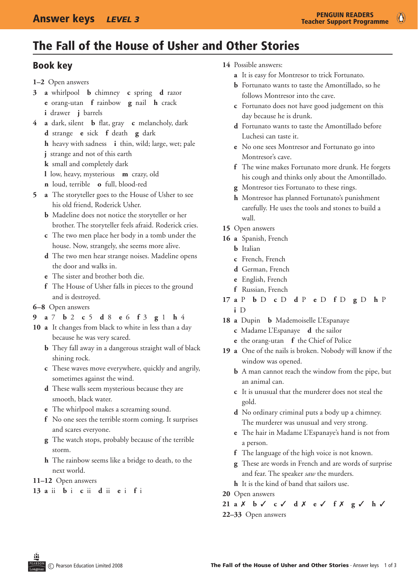$\bullet$ 

# The Fall of the House of Usher and Other Stories

### Book key

- **1–2** Open answers
- **3 a** whirlpool **b** chimney **c** spring **d** razor **e** orang-utan **f** rainbow **g** nail **h** crack **i** drawer **j** barrels
- **4 a** dark, silent **b** flat, gray **c** melancholy, dark **d** strange **e** sick **f** death **g** dark
	- **h** heavy with sadness **i** thin, wild; large, wet; pale
	- **j** strange and not of this earth
	- **k** small and completely dark
	- **l** low, heavy, mysterious **m** crazy, old
	- **n** loud, terrible **o** full, blood-red
- **5 a** The storyteller goes to the House of Usher to see his old friend, Roderick Usher.
	- **b** Madeline does not notice the storyteller or her brother. The storyteller feels afraid. Roderick cries.
	- **c** The two men place her body in a tomb under the house. Now, strangely, she seems more alive.
	- **d** The two men hear strange noises. Madeline opens the door and walks in.
	- **e** The sister and brother both die.
	- **f** The House of Usher falls in pieces to the ground and is destroyed.
- **6–8** Open answers
- **9 a** 7 **b** 2 **c** 5 **d** 8 **e** 6 **f** 3 **g** 1 **h** 4
- 10 **a** It changes from black to white in less than a day because he was very scared.
	- **b** They fall away in a dangerous straight wall of black shining rock.
	- **c** These waves move everywhere, quickly and angrily, sometimes against the wind.
	- **d** These walls seem mysterious because they are smooth, black water.
	- **e** The whirlpool makes a screaming sound.
	- **f** No one sees the terrible storm coming. It surprises and scares everyone.
	- **g** The watch stops, probably because of the terrible storm.
	- **h** The rainbow seems like a bridge to death, to the next world.

#### **11–12** Open answers

**13 a** ii **b** i **c** ii **d** ii **e** i **f** i

- **14** Possible answers:
	- **a** It is easy for Montresor to trick Fortunato.
	- **b** Fortunato wants to taste the Amontillado, so he follows Montresor into the cave.
	- **c** Fortunato does not have good judgement on this day because he is drunk.
	- **d** Fortunato wants to taste the Amontillado before Luchesi can taste it.
	- **e** No one sees Montresor and Fortunato go into Montresor's cave.
	- **f** The wine makes Fortunato more drunk. He forgets his cough and thinks only about the Amontillado.
	- **g** Montresor ties Fortunato to these rings.
	- **h** Montresor has planned Fortunato's punishment carefully. He uses the tools and stones to build a wall.
- **15** Open answers
- **16 a** Spanish, French
	- **b** Italian
	- **c** French, French
	- **d** German, French
	- **e** English, French
	- **f** Russian, French
- **17 a** P **b** D **c** D **d** P **e** D **f** D **g** D **h** P **i** D
- **18 a** Dupin **b** Mademoiselle L'Espanaye
	- **c** Madame L'Espanaye **d** the sailor
	- **e** the orang-utan **f** the Chief of Police
- **19 a** One of the nails is broken. Nobody will know if the window was opened.
	- **b** A man cannot reach the window from the pipe, but an animal can.
	- **c** It is unusual that the murderer does not steal the gold.
	- **d** No ordinary criminal puts a body up a chimney. The murderer was unusual and very strong.
	- **e** The hair in Madame L'Espanaye's hand is not from a person.
	- **f** The language of the high voice is not known.
	- **g** These are words in French and are words of surprise and fear. The speaker *saw* the murders.
	- **h** It is the kind of band that sailors use.
- **20** Open answers

**21 a** 7 **b** 3 **c** 3 **d** 7 **e** 3 **f** 7 **g** 3 **h** 3 **22–33** Open answers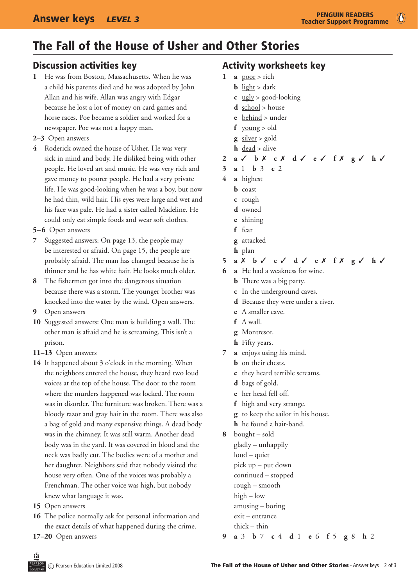$\circled{c}$ 

### The Fall of the House of Usher and Other Stories

#### Discussion activities key

- **1**  He was from Boston, Massachusetts. When he was a child his parents died and he was adopted by John Allan and his wife. Allan was angry with Edgar because he lost a lot of money on card games and horse races. Poe became a soldier and worked for a newspaper. Poe was not a happy man.
- **2–3** Open answers
- **4**  Roderick owned the house of Usher. He was very sick in mind and body. He disliked being with other people. He loved art and music. He was very rich and gave money to poorer people. He had a very private life. He was good-looking when he was a boy, but now he had thin, wild hair. His eyes were large and wet and his face was pale. He had a sister called Madeline. He could only eat simple foods and wear soft clothes.
- **5–6** Open answers
- **7**  Suggested answers: On page 13, the people may be interested or afraid. On page 15, the people are probably afraid. The man has changed because he is thinner and he has white hair. He looks much older.
- **8** The fishermen got into the dangerous situation because there was a storm. The younger brother was knocked into the water by the wind. Open answers.
- **9** Open answers
- **10**  Suggested answers: One man is building a wall. The other man is afraid and he is screaming. This isn't a prison.
- **11–13** Open answers
- **14** It happened about 3 o'clock in the morning. When the neighbors entered the house, they heard two loud voices at the top of the house. The door to the room where the murders happened was locked. The room was in disorder. The furniture was broken. There was a bloody razor and gray hair in the room. There was also a bag of gold and many expensive things. A dead body was in the chimney. It was still warm. Another dead body was in the yard. It was covered in blood and the neck was badly cut. The bodies were of a mother and her daughter. Neighbors said that nobody visited the house very often. One of the voices was probably a Frenchman. The other voice was high, but nobody knew what language it was.
- **15** Open answers
- **16** The police normally ask for personal information and the exact details of what happened during the crime.
- **17–20** Open answers

#### Activity worksheets key

- 1 **a**  $poor > rich$ 
	- **b** light > dark
	- **c** ugly > good-looking
	- **d** school > house
	- **e** behind > under
	- **f** young > old
	- **g** silver > gold
	- **h** dead > alive
- 2 **a**  $\checkmark$  **b**  $X$  **c**  $X$  **d**  $\checkmark$  **e**  $\checkmark$  **f**  $X$  **g**  $\checkmark$  **h**  $\checkmark$
- **3 a** 1 **b** 3 **c** 2
- **4 a** highest
	- **b** coast
	- **c**  rough
	- d owned
	- **e**  shining
	- **f** fear
	- **g** attacked
	- **h** plan
- **5 a** 7 **b** 3 **c** 3 **d** 3 **e** 7 **f** 7 **g** 3 **h** 3
- **6 a** He had a weakness for wine.
	- **b** There was a big party.
	- **c** In the underground caves.
	- **d** Because they were under a river.
	- **e** A smaller cave.
	- **f** A wall.
	- **g** Montresor.
	- **h** Fifty years.
- **7 a** enjoys using his mind.
	- **b** on their chests.
	- **c** they heard terrible screams.
	- **d** bags of gold.
	- **e** her head fell off.
	- **f** high and very strange.
	- **g** to keep the sailor in his house.
	- **h** he found a hair-band.
- **8**  bought sold gladly – unhappily loud – quiet pick up – put down continued – stopped rough – smooth high – low amusing – boring exit – entrance thick – thin
- **9 a** 3 **b** 7 **c** 4 **d** 1 **e** 6 **f** 5 **g** 8 **h** 2